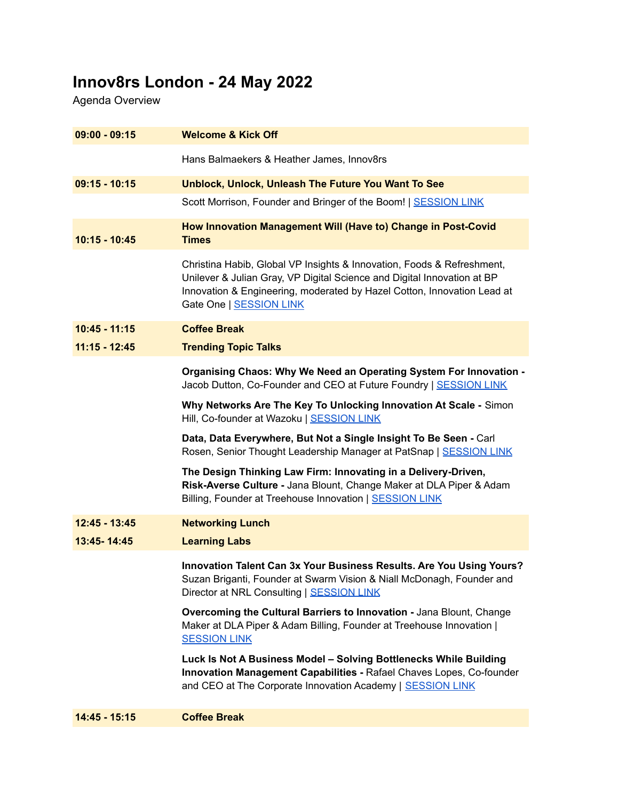## **Innov8rs London - 24 May 2022**

Agenda Overview

| $09:00 - 09:15$ | <b>Welcome &amp; Kick Off</b>                                                                                                                                                                                                                           |
|-----------------|---------------------------------------------------------------------------------------------------------------------------------------------------------------------------------------------------------------------------------------------------------|
|                 | Hans Balmaekers & Heather James, Innov8rs                                                                                                                                                                                                               |
| $09:15 - 10:15$ | Unblock, Unlock, Unleash The Future You Want To See                                                                                                                                                                                                     |
|                 | Scott Morrison, Founder and Bringer of the Boom!   SESSION LINK                                                                                                                                                                                         |
| $10:15 - 10:45$ | How Innovation Management Will (Have to) Change in Post-Covid<br><b>Times</b>                                                                                                                                                                           |
|                 | Christina Habib, Global VP Insights & Innovation, Foods & Refreshment,<br>Unilever & Julian Gray, VP Digital Science and Digital Innovation at BP<br>Innovation & Engineering, moderated by Hazel Cotton, Innovation Lead at<br>Gate One   SESSION LINK |
| $10:45 - 11:15$ | <b>Coffee Break</b>                                                                                                                                                                                                                                     |
| $11:15 - 12:45$ | <b>Trending Topic Talks</b>                                                                                                                                                                                                                             |
|                 | Organising Chaos: Why We Need an Operating System For Innovation -<br>Jacob Dutton, Co-Founder and CEO at Future Foundry   SESSION LINK                                                                                                                 |
|                 | Why Networks Are The Key To Unlocking Innovation At Scale - Simon<br>Hill, Co-founder at Wazoku   SESSION LINK                                                                                                                                          |
|                 | Data, Data Everywhere, But Not a Single Insight To Be Seen - Carl<br>Rosen, Senior Thought Leadership Manager at PatSnap   SESSION LINK                                                                                                                 |
|                 | The Design Thinking Law Firm: Innovating in a Delivery-Driven,<br>Risk-Averse Culture - Jana Blount, Change Maker at DLA Piper & Adam<br>Billing, Founder at Treehouse Innovation   SESSION LINK                                                        |
| 12:45 - 13:45   | <b>Networking Lunch</b>                                                                                                                                                                                                                                 |
| 13:45-14:45     | <b>Learning Labs</b>                                                                                                                                                                                                                                    |
|                 | Innovation Talent Can 3x Your Business Results. Are You Using Yours?<br>Suzan Briganti, Founder at Swarm Vision & Niall McDonagh, Founder and<br>Director at NRL Consulting   SESSION LINK                                                              |
|                 | Overcoming the Cultural Barriers to Innovation - Jana Blount, Change<br>Maker at DLA Piper & Adam Billing, Founder at Treehouse Innovation  <br><b>SESSION LINK</b>                                                                                     |
|                 | Luck Is Not A Business Model - Solving Bottlenecks While Building<br>Innovation Management Capabilities - Rafael Chaves Lopes, Co-founder<br>and CEO at The Corporate Innovation Academy   SESSION LINK                                                 |
| 14:45 - 15:15   | <b>Coffee Break</b>                                                                                                                                                                                                                                     |